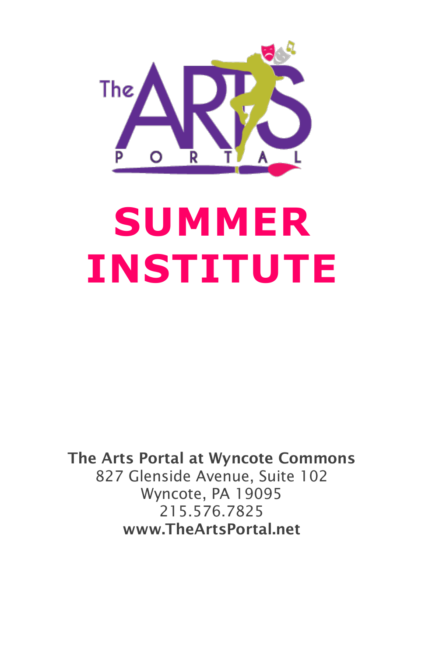

# **SUMMER INSTITUTE**

The Arts Portal at Wyncote Commons 827 Glenside Avenue, Suite 102 Wyncote, PA 19095 215.576.7825 www.TheArtsPortal.net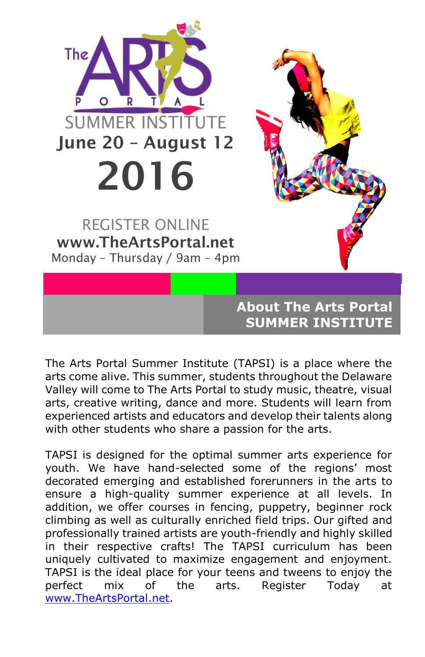

The Arts Portal Summer Institute (TAPSI) is a place where the arts come alive. This summer, students throughout the Delaware Valley will come to The Arts Portal to study music, theatre, visual arts, creative writing, dance and more. Students will learn from experienced artists and educators and develop their talents along with other students who share a passion for the arts.

TAPSI is designed for the optimal summer arts experience for youth. We have hand-selected some of the regions' most decorated emerging and established forerunners in the arts to ensure a high-quality summer experience at all levels. In addition, we offer courses in fencing, puppetry, beginner rock climbing as well as culturally enriched field trips. Our gifted and professionally trained artists are youth-friendly and highly skilled in their respective crafts! The TAPSI curriculum has been uniquely cultivated to maximize engagement and enjoyment. TAPSI is the ideal place for your teens and tweens to enjoy the perfect mix of the arts. Register Today at [www.TheArtsPortal.net.](http://www.theartsportal.net/)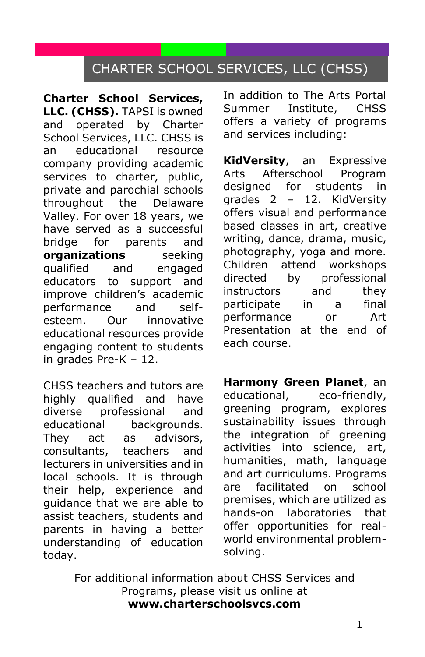## CHARTER SCHOOL SERVICES, LLC (CHSS)

**Charter School Services, LLC. (CHSS).** TAPSI is owned and operated by Charter School Services, LLC. CHSS is an educational resource company providing academic services to charter, public, private and parochial schools throughout the Delaware Valley. For over 18 years, we have served as a successful bridge for parents and **organizations** seeking qualified and engaged educators to support and improve children's academic performance and selfesteem. Our innovative educational resources provide engaging content to students in grades Pre-K – 12.

CHSS teachers and tutors are highly qualified and have diverse professional and educational backgrounds. They act as advisors, consultants, teachers and lecturers in universities and in local schools. It is through their help, experience and guidance that we are able to assist teachers, students and parents in having a better understanding of education today.

In addition to The Arts Portal Summer Institute, CHSS offers a variety of programs and services including:

**KidVersity**, an Expressive Arts Afterschool Program designed for students in grades 2 – 12. KidVersity offers visual and performance based classes in art, creative writing, dance, drama, music, photography, yoga and more. Children attend workshops directed by professional instructors and they participate in a final performance or Art Presentation at the end of each course.

**Harmony Green Planet**, an educational, eco-friendly, greening program, explores sustainability issues through the integration of greening activities into science, art, humanities, math, language and art curriculums. Programs are facilitated on school premises, which are utilized as hands-on laboratories that offer opportunities for realworld environmental problemsolving.

For additional information about CHSS Services and Programs, please visit us online at **www.charterschoolsvcs.com**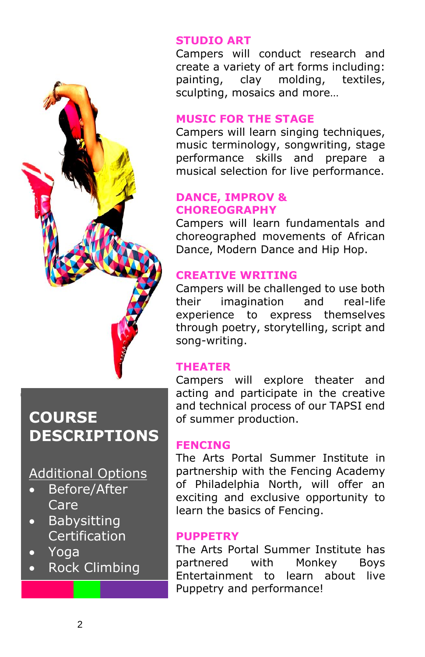

# **COURSE DESCRIPTIONS**

### Additional Options

- Before/After Care
- Babysitting Certification
- Yoga
- Rock Climbing

#### **STUDIO ART**

Campers will conduct research and create a variety of art forms including: painting, clay molding, textiles, sculpting, mosaics and more…

#### **MUSIC FOR THE STAGE**

Campers will learn singing techniques, music terminology, songwriting, stage performance skills and prepare a musical selection for live performance.

#### **DANCE, IMPROV & CHOREOGRAPHY**

Campers will learn fundamentals and choreographed movements of African Dance, Modern Dance and Hip Hop.

#### **CREATIVE WRITING**

Campers will be challenged to use both their imagination and real-life experience to express themselves through poetry, storytelling, script and song-writing.

#### **THEATER**

Campers will explore theater and acting and participate in the creative and technical process of our TAPSI end of summer production.

#### **FENCING**

The Arts Portal Summer Institute in partnership with the Fencing Academy of Philadelphia North, will offer an exciting and exclusive opportunity to learn the basics of Fencing.

#### **PUPPETRY**

The Arts Portal Summer Institute has partnered with Monkey Boys Entertainment to learn about live Puppetry and performance!